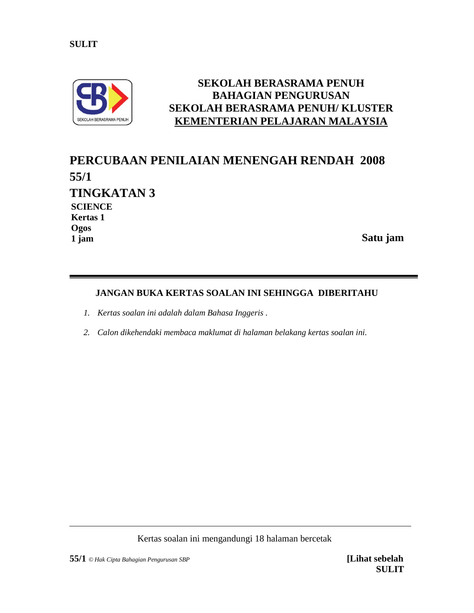

# **SEKOLAH BERASRAMA PENUH BAHAGIAN PENGURUSAN SEKOLAH BERASRAMA PENUH/ KLUSTER KEMENTERIAN PELAJARAN MALAYSIA**

# **PERCUBAAN PENILAIAN MENENGAH RENDAH 2008 55/1 TINGKATAN 3 Satu jam SCIENCE Kertas 1 Ogos 1 jam**

# **JANGAN BUKA KERTAS SOALAN INI SEHINGGA DIBERITAHU**

- *1. Kertas soalan ini adalah dalam Bahasa Inggeris .*
- *2. Calon dikehendaki membaca maklumat di halaman belakang kertas soalan ini.*

Kertas soalan ini mengandungi 18 halaman bercetak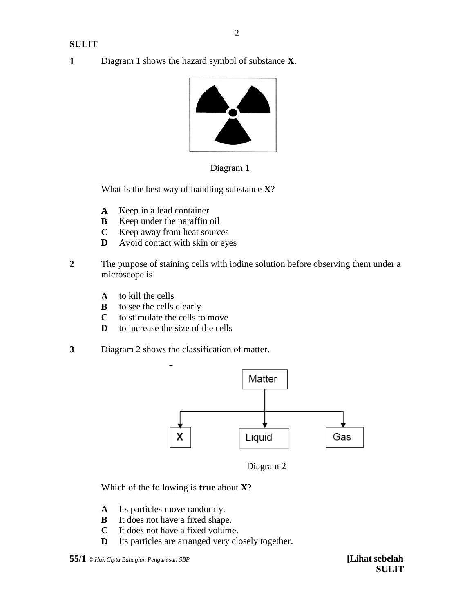**1** Diagram 1 shows the hazard symbol of substance **X**.



Diagram 1

What is the best way of handling substance **X**?

- **A** Keep in a lead container
- **B** Keep under the paraffin oil
- **C** Keep away from heat sources
- **D** Avoid contact with skin or eyes
- **2** The purpose of staining cells with iodine solution before observing them under a microscope is
	- **A** to kill the cells
	- **B** to see the cells clearly
	- **C** to stimulate the cells to move
	- **D** to increase the size of the cells
- **3** Diagram 2 shows the classification of matter.



Diagram 2

Which of the following is **true** about **X**?

- **A** Its particles move randomly.
- **B** It does not have a fixed shape.
- **C** It does not have a fixed volume.
- **D** Its particles are arranged very closely together.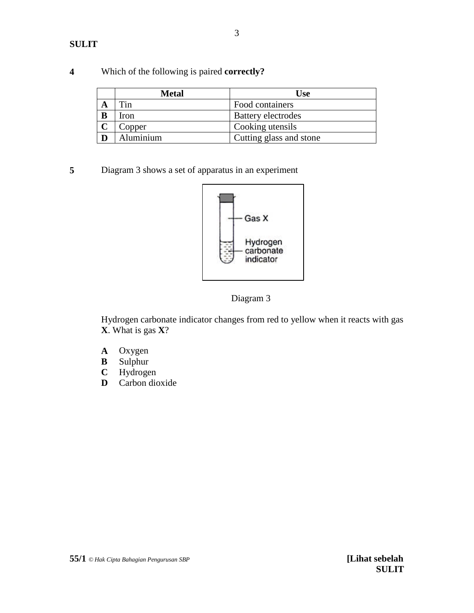|   | Metal              | <b>Use</b>                |
|---|--------------------|---------------------------|
|   | $\tau_{\text{in}}$ | Food containers           |
| B | Iron               | <b>Battery electrodes</b> |
|   | Copper             | Cooking utensils          |
|   | Aluminium          | Cutting glass and stone   |

# **4** Which of the following is paired **correctly?**

**5** Diagram 3 shows a set of apparatus in an experiment



Diagram 3

Hydrogen carbonate indicator changes from red to yellow when it reacts with gas **X**. What is gas **X**?

- **A** Oxygen
- **B** Sulphur<br>**C** Hydroge
- Hydrogen
- **D** Carbon dioxide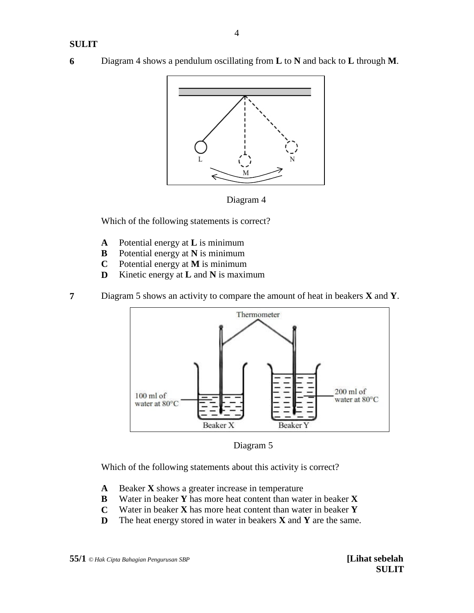**6** Diagram 4 shows a pendulum oscillating from **L** to **N** and back to **L** through **M**.





Which of the following statements is correct?

- **A** Potential energy at **L** is minimum
- **B** Potential energy at **N** is minimum
- **C** Potential energy at **M** is minimum
- **D** Kinetic energy at **L** and **N** is maximum
- **7** Diagram 5 shows an activity to compare the amount of heat in beakers **X** and **Y**.



Diagram 5

Which of the following statements about this activity is correct?

- **A** Beaker **X** shows a greater increase in temperature
- **B** Water in beaker **Y** has more heat content than water in beaker **X**
- **C** Water in beaker **X** has more heat content than water in beaker **Y**
- **D** The heat energy stored in water in beakers **X** and **Y** are the same.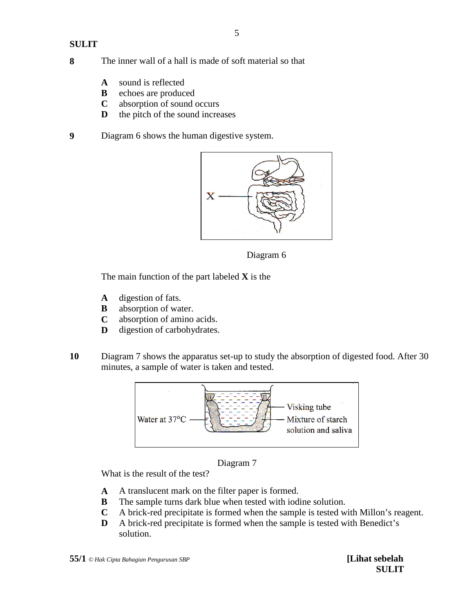#### **8** The inner wall of a hall is made of soft material so that

- **A** sound is reflected
- **B** echoes are produced
- **C** absorption of sound occurs
- **D** the pitch of the sound increases
- **9** Diagram 6 shows the human digestive system.



Diagram 6

The main function of the part labeled **X** is the

- **A** digestion of fats.
- **B** absorption of water.
- **C** absorption of amino acids.
- **D** digestion of carbohydrates.
- **10** Diagram 7 shows the apparatus set-up to study the absorption of digested food. After 30 minutes, a sample of water is taken and tested.





What is the result of the test?

- **A** A translucent mark on the filter paper is formed.
- **B** The sample turns dark blue when tested with iodine solution.
- **C** A brick-red precipitate is formed when the sample is tested with Millon's reagent.
- **D** A brick-red precipitate is formed when the sample is tested with Benedict's solution.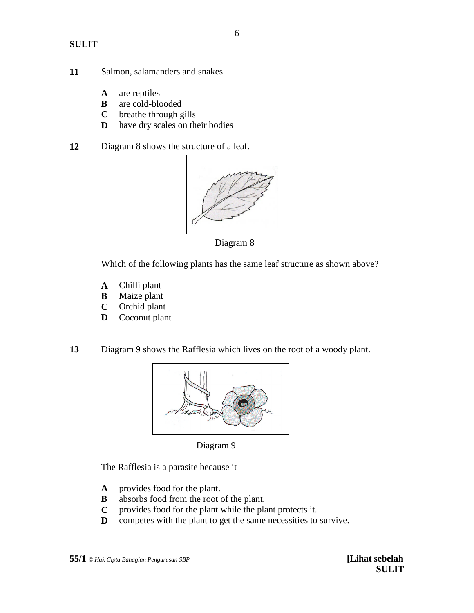- **11** Salmon, salamanders and snakes
	- **A** are reptiles
	- **B** are cold-blooded
	- **C** breathe through gills
	- **D** have dry scales on their bodies
- **12** Diagram 8 shows the structure of a leaf.



Diagram 8

Which of the following plants has the same leaf structure as shown above?

- **A** Chilli plant
- **B** Maize plant
- **C** Orchid plant
- **D** Coconut plant
- **13** Diagram 9 shows the Rafflesia which lives on the root of a woody plant.



Diagram 9

The Rafflesia is a parasite because it

- **A** provides food for the plant.
- **B** absorbs food from the root of the plant.
- **C** provides food for the plant while the plant protects it.
- **D** competes with the plant to get the same necessities to survive.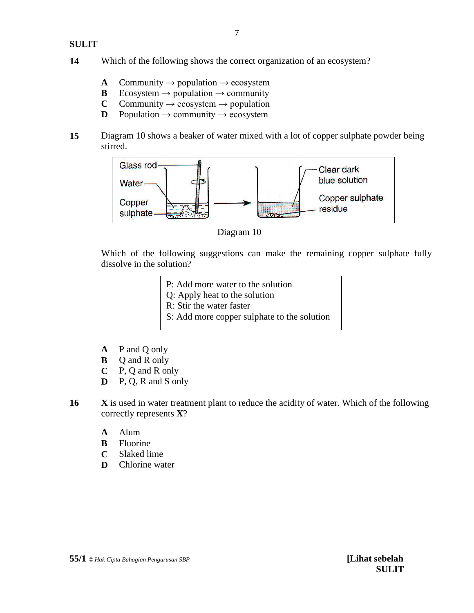- **A** Community  $\rightarrow$  population  $\rightarrow$  ecosystem
- **B** Ecosystem  $\rightarrow$  population  $\rightarrow$  community
- **C** Community  $\rightarrow$  ecosystem  $\rightarrow$  population
- **D** Population  $\rightarrow$  community  $\rightarrow$  ecosystem
- **15** Diagram 10 shows a beaker of water mixed with a lot of copper sulphate powder being stirred.



Diagram 10

Which of the following suggestions can make the remaining copper sulphate fully dissolve in the solution?

- P: Add more water to the solution
- Q: Apply heat to the solution
- R: Stir the water faster
- S: Add more copper sulphate to the solution
- **A** P and Q only
- **B** Q and R only
- **C** P, Q and R only
- **D** P, Q, R and S only
- **16 X** is used in water treatment plant to reduce the acidity of water. Which of the following correctly represents **X**?
	- **A** Alum
	- **B** Fluorine
	- **C** Slaked lime
	- **D** Chlorine water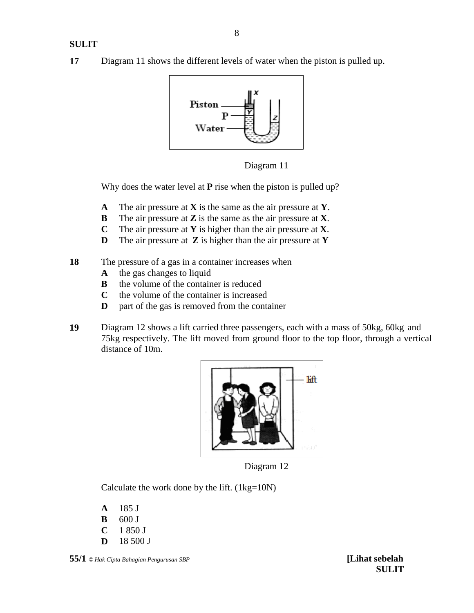**17** Diagram 11 shows the different levels of water when the piston is pulled up.



Diagram 11

Why does the water level at **P** rise when the piston is pulled up?

- **A** The air pressure at **X** is the same as the air pressure at **Y**.
- **B** The air pressure at **Z** is the same as the air pressure at **X**.
- **C** The air pressure at **Y** is higher than the air pressure at **X**.
- **D** The air pressure at **Z** is higher than the air pressure at **Y**
- **18** The pressure of a gas in a container increases when
	- **A** the gas changes to liquid
	- **B** the volume of the container is reduced
	- **C** the volume of the container is increased
	- **D** part of the gas is removed from the container
- **19** Diagram 12 shows a lift carried three passengers, each with a mass of 50kg, 60kg and 75kg respectively. The lift moved from ground floor to the top floor, through a vertical distance of 10m.



Diagram 12

Calculate the work done by the lift.  $(1kg=10N)$ 

**A** 185 J

- **B** 600 J
- **C** 1 850 J
- **D** 18 500 J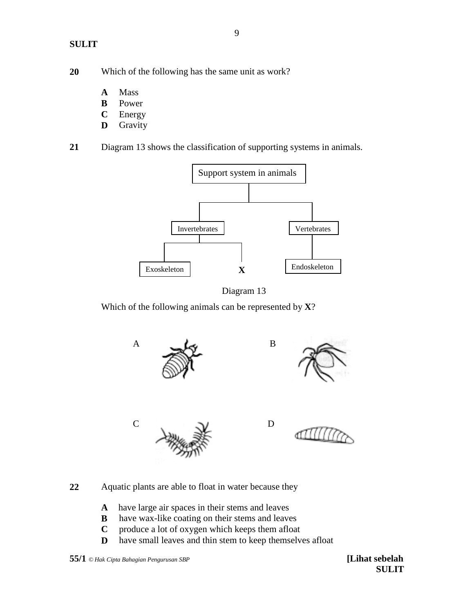- **20** Which of the following has the same unit as work?
	- **A** Mass
	- **B** Power
	- **C** Energy
	- **D** Gravity
- **21** Diagram 13 shows the classification of supporting systems in animals.





Which of the following animals can be represented by **X**?



- **22** Aquatic plants are able to float in water because they
	- **A** have large air spaces in their stems and leaves
	- **B** have wax-like coating on their stems and leaves
	- **C** produce a lot of oxygen which keeps them afloat
	- **D** have small leaves and thin stem to keep themselves afloat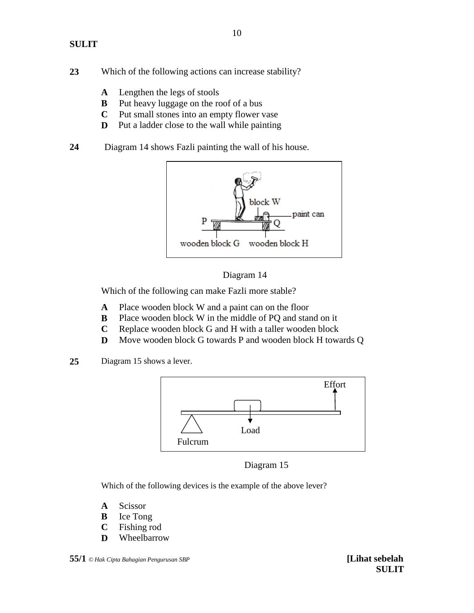- **23** Which of the following actions can increase stability?
	- **A** Lengthen the legs of stools
	- **B** Put heavy luggage on the roof of a bus
	- **C** Put small stones into an empty flower vase
	- **D** Put a ladder close to the wall while painting
- **24** Diagram 14 shows Fazli painting the wall of his house.



#### Diagram 14

Which of the following can make Fazli more stable?

- **A** Place wooden block W and a paint can on the floor
- **B** Place wooden block W in the middle of PQ and stand on it
- **C** Replace wooden block G and H with a taller wooden block
- **D** Move wooden block G towards P and wooden block H towards Q
- **25** Diagram 15 shows a lever.



Diagram 15

Which of the following devices is the example of the above lever?

- **A** Scissor
- **B** Ice Tong
- **C** Fishing rod
- **D** Wheelbarrow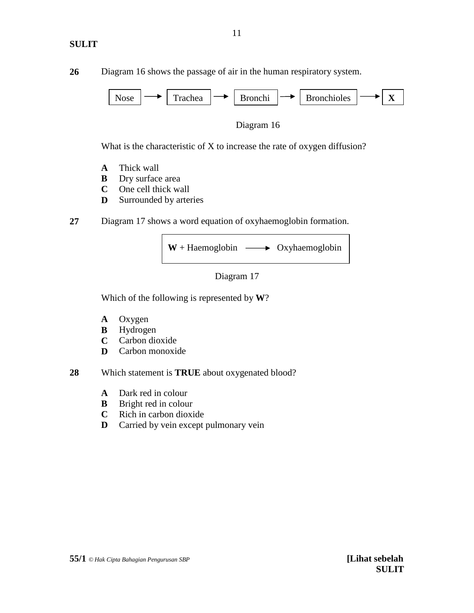**26** Diagram 16 shows the passage of air in the human respiratory system.



Diagram 16

What is the characteristic of X to increase the rate of oxygen diffusion?

- **A** Thick wall
- **B** Dry surface area
- **C** One cell thick wall
- **D** Surrounded by arteries
- **27** Diagram 17 shows a word equation of oxyhaemoglobin formation.





Which of the following is represented by **W**?

- **A** Oxygen
- **B** Hydrogen
- **C** Carbon dioxide
- **D** Carbon monoxide
- **28** Which statement is **TRUE** about oxygenated blood?
	- **A** Dark red in colour
	- **B** Bright red in colour
	- **C** Rich in carbon dioxide
	- **D** Carried by vein except pulmonary vein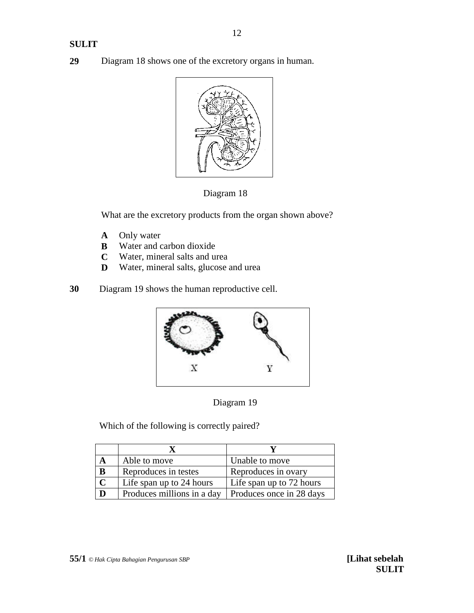**29** Diagram 18 shows one of the excretory organs in human.





What are the excretory products from the organ shown above?

- **A** Only water
- **B** Water and carbon dioxide
- **C** Water, mineral salts and urea
- **D** Water, mineral salts, glucose and urea
- **30** Diagram 19 shows the human reproductive cell.





Which of the following is correctly paired?

|             | Able to move               | Unable to move           |
|-------------|----------------------------|--------------------------|
| B           | Reproduces in testes       | Reproduces in ovary      |
| $\mathbf C$ | Life span up to 24 hours   | Life span up to 72 hours |
| D           | Produces millions in a day | Produces once in 28 days |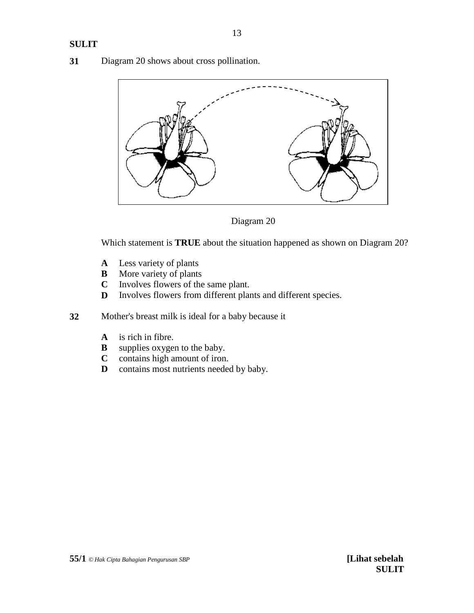**31** Diagram 20 shows about cross pollination.



Diagram 20

Which statement is **TRUE** about the situation happened as shown on Diagram 20?

- **A** Less variety of plants
- **B** More variety of plants
- **C** Involves flowers of the same plant.
- **D** Involves flowers from different plants and different species.
- **32** Mother's breast milk is ideal for a baby because it
	- **A** is rich in fibre.<br>**B** supplies oxyger
	- supplies oxygen to the baby.
	- **C** contains high amount of iron.
	- **D** contains most nutrients needed by baby.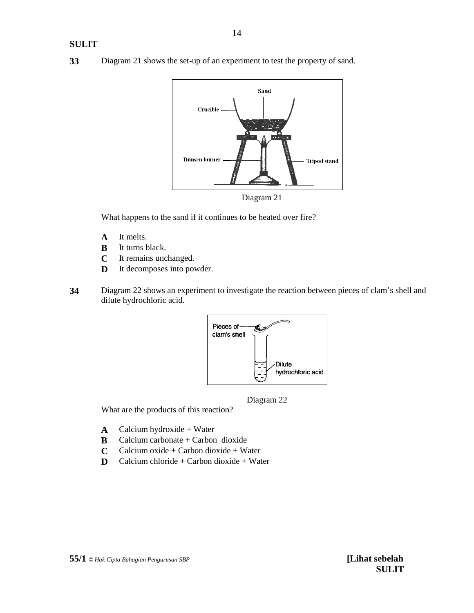**33** Diagram 21 shows the set-up of an experiment to test the property of sand.



What happens to the sand if it continues to be heated over fire?

- **A** It melts.
- **B** It turns black.
- **C** It remains unchanged.
- **D** It decomposes into powder.
- **34** Diagram 22 shows an experiment to investigate the reaction between pieces of clam's shell and dilute hydrochloric acid.



Diagram 22

What are the products of this reaction?

- **A** Calcium hydroxide + Water
- **B** Calcium carbonate + Carbon dioxide
- **C** Calcium oxide + Carbon dioxide + Water
- **D** Calcium chloride + Carbon dioxide + Water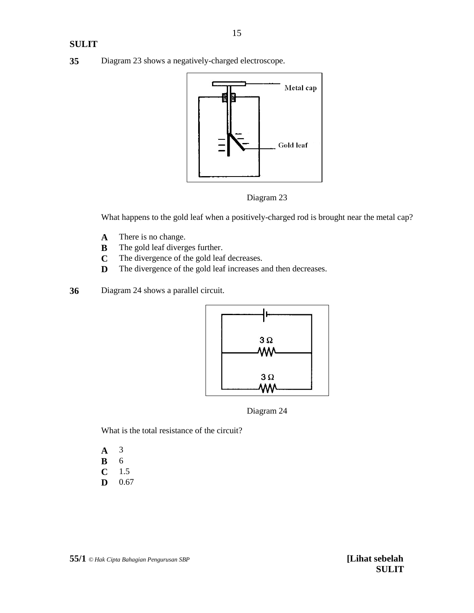**35** Diagram 23 shows a negatively-charged electroscope.



Diagram 23

What happens to the gold leaf when a positively-charged rod is brought near the metal cap?

- **A** There is no change.
- **B** The gold leaf diverges further.
- **C** The divergence of the gold leaf decreases.
- **D** The divergence of the gold leaf increases and then decreases.
- **36** Diagram 24 shows a parallel circuit.



Diagram 24

What is the total resistance of the circuit?

- **A** 3 **B** 6
- **C** 1.5
- **D** 0.67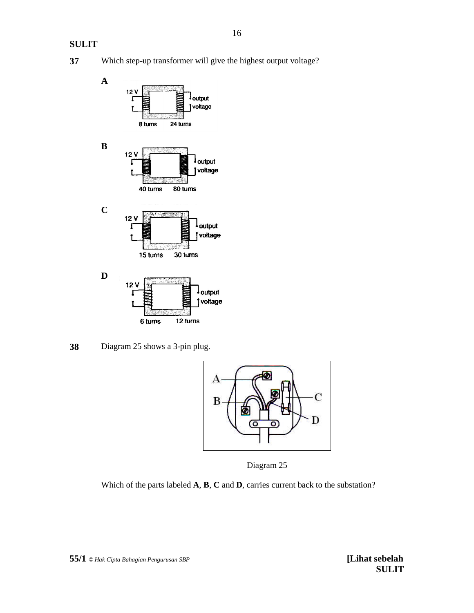



**38** Diagram 25 shows a 3-pin plug.



Diagram 25

Which of the parts labeled **A**, **B**, **C** and **D**, carries current back to the substation?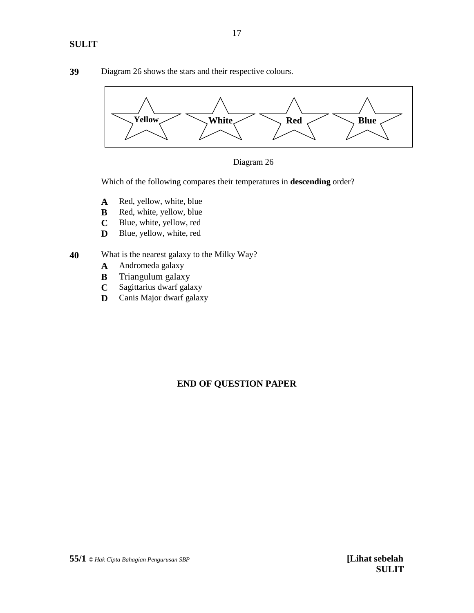**39** Diagram 26 shows the stars and their respective colours.





Which of the following compares their temperatures in **descending** order?

- **A** Red, yellow, white, blue
- **B** Red, white, yellow, blue
- **C** Blue, white, yellow, red
- **D** Blue, yellow, white, red
- **40** What is the nearest galaxy to the Milky Way?
	- **A** Andromeda galaxy
	- **B** Triangulum galaxy
	- **C** Sagittarius dwarf galaxy
	- **D** Canis Major dwarf galaxy

# **END OF QUESTION PAPER**